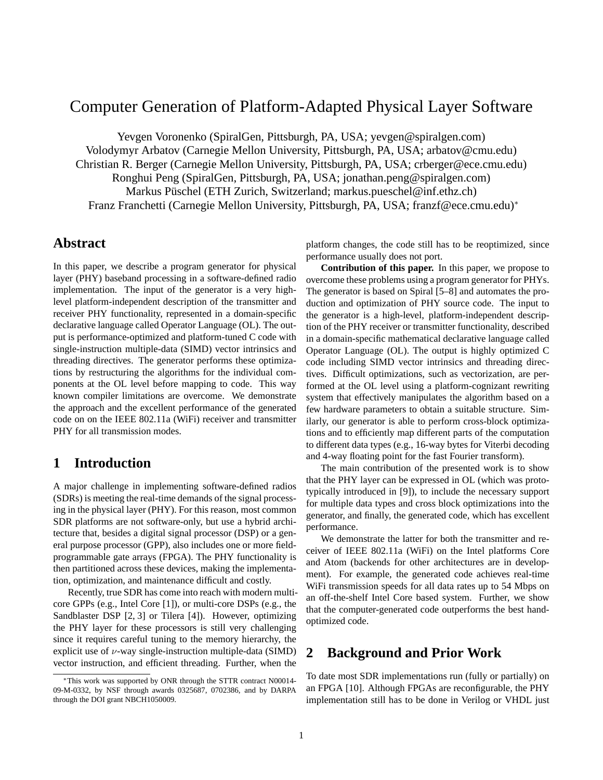# Computer Generation of Platform-Adapted Physical Layer Software

Yevgen Voronenko (SpiralGen, Pittsburgh, PA, USA; yevgen@spiralgen.com) Volodymyr Arbatov (Carnegie Mellon University, Pittsburgh, PA, USA; arbatov@cmu.edu) Christian R. Berger (Carnegie Mellon University, Pittsburgh, PA, USA; crberger@ece.cmu.edu) Ronghui Peng (SpiralGen, Pittsburgh, PA, USA; jonathan.peng@spiralgen.com) Markus Püschel (ETH Zurich, Switzerland; markus.pueschel@inf.ethz.ch) Franz Franchetti (Carnegie Mellon University, Pittsburgh, PA, USA; franzf@ece.cmu.edu)<sup>∗</sup>

### **Abstract**

In this paper, we describe a program generator for physical layer (PHY) baseband processing in a software-defined radio implementation. The input of the generator is a very highlevel platform-independent description of the transmitter and receiver PHY functionality, represented in a domain-specific declarative language called Operator Language (OL). The output is performance-optimized and platform-tuned C code with single-instruction multiple-data (SIMD) vector intrinsics and threading directives. The generator performs these optimizations by restructuring the algorithms for the individual components at the OL level before mapping to code. This way known compiler limitations are overcome. We demonstrate the approach and the excellent performance of the generated code on on the IEEE 802.11a (WiFi) receiver and transmitter PHY for all transmission modes.

## **1 Introduction**

A major challenge in implementing software-defined radios (SDRs) is meeting the real-time demands of the signal processing in the physical layer (PHY). For this reason, most common SDR platforms are not software-only, but use a hybrid architecture that, besides a digital signal processor (DSP) or a general purpose processor (GPP), also includes one or more fieldprogrammable gate arrays (FPGA). The PHY functionality is then partitioned across these devices, making the implementation, optimization, and maintenance difficult and costly.

Recently, true SDR has come into reach with modern multicore GPPs (e.g., Intel Core [1]), or multi-core DSPs (e.g., the Sandblaster DSP [2, 3] or Tilera [4]). However, optimizing the PHY layer for these processors is still very challenging since it requires careful tuning to the memory hierarchy, the explicit use of  $\nu$ -way single-instruction multiple-data (SIMD) vector instruction, and efficient threading. Further, when the

platform changes, the code still has to be reoptimized, since performance usually does not port.

**Contribution of this paper.** In this paper, we propose to overcome these problems using a program generator for PHYs. The generator is based on Spiral [5–8] and automates the production and optimization of PHY source code. The input to the generator is a high-level, platform-independent description of the PHY receiver or transmitter functionality, described in a domain-specific mathematical declarative language called Operator Language (OL). The output is highly optimized C code including SIMD vector intrinsics and threading directives. Difficult optimizations, such as vectorization, are performed at the OL level using a platform-cognizant rewriting system that effectively manipulates the algorithm based on a few hardware parameters to obtain a suitable structure. Similarly, our generator is able to perform cross-block optimizations and to efficiently map different parts of the computation to different data types (e.g., 16-way bytes for Viterbi decoding and 4-way floating point for the fast Fourier transform).

The main contribution of the presented work is to show that the PHY layer can be expressed in OL (which was prototypically introduced in [9]), to include the necessary support for multiple data types and cross block optimizations into the generator, and finally, the generated code, which has excellent performance.

We demonstrate the latter for both the transmitter and receiver of IEEE 802.11a (WiFi) on the Intel platforms Core and Atom (backends for other architectures are in development). For example, the generated code achieves real-time WiFi transmission speeds for all data rates up to 54 Mbps on an off-the-shelf Intel Core based system. Further, we show that the computer-generated code outperforms the best handoptimized code.

# **2 Background and Prior Work**

To date most SDR implementations run (fully or partially) on an FPGA [10]. Although FPGAs are reconfigurable, the PHY implementation still has to be done in Verilog or VHDL just

<sup>∗</sup>This work was supported by ONR through the STTR contract N00014- 09-M-0332, by NSF through awards 0325687, 0702386, and by DARPA through the DOI grant NBCH1050009.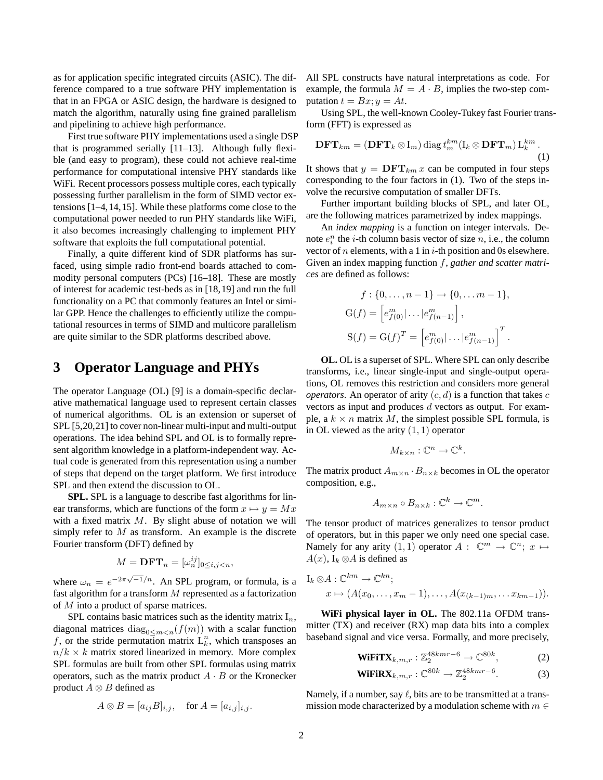as for application specific integrated circuits (ASIC). The difference compared to a true software PHY implementation is that in an FPGA or ASIC design, the hardware is designed to match the algorithm, naturally using fine grained parallelism and pipelining to achieve high performance.

First true software PHY implementations used a single DSP that is programmed serially [11–13]. Although fully flexible (and easy to program), these could not achieve real-time performance for computational intensive PHY standards like WiFi. Recent processors possess multiple cores, each typically possessing further parallelism in the form of SIMD vector extensions [1–4,14,15]. While these platforms come close to the computational power needed to run PHY standards like WiFi, it also becomes increasingly challenging to implement PHY software that exploits the full computational potential.

Finally, a quite different kind of SDR platforms has surfaced, using simple radio front-end boards attached to commodity personal computers (PCs) [16–18]. These are mostly of interest for academic test-beds as in [18,19] and run the full functionality on a PC that commonly features an Intel or similar GPP. Hence the challenges to efficiently utilize the computational resources in terms of SIMD and multicore parallelism are quite similar to the SDR platforms described above.

#### **3 Operator Language and PHYs**

The operator Language (OL) [9] is a domain-specific declarative mathematical language used to represent certain classes of numerical algorithms. OL is an extension or superset of SPL [5,20,21] to cover non-linear multi-input and multi-output operations. The idea behind SPL and OL is to formally represent algorithm knowledge in a platform-independent way. Actual code is generated from this representation using a number of steps that depend on the target platform. We first introduce SPL and then extend the discussion to OL.

**SPL.** SPL is a language to describe fast algorithms for linear transforms, which are functions of the form  $x \mapsto y = Mx$ with a fixed matrix  $M$ . By slight abuse of notation we will simply refer to  $M$  as transform. An example is the discrete Fourier transform (DFT) defined by

$$
M=\mathbf{DFT}_n=[\omega_n^{ij}]_{0\leq i,j
$$

where  $\omega_n = e^{-2\pi\sqrt{-1}/n}$ . An SPL program, or formula, is a fast algorithm for a transform  $M$  represented as a factorization of M into a product of sparse matrices.

SPL contains basic matrices such as the identity matrix  $I_n$ , diagonal matrices diag<sub>0</sub>< $m$ <sub><n</sub>( $f(m)$ ) with a scalar function f, or the stride permutation matrix  $L_k^n$ , which transposes an  $n/k \times k$  matrix stored linearized in memory. More complex SPL formulas are built from other SPL formulas using matrix operators, such as the matrix product  $A \cdot B$  or the Kronecker product  $A \otimes B$  defined as

$$
A \otimes B = [a_{ij}B]_{i,j}, \quad \text{for } A = [a_{i,j}]_{i,j}.
$$

All SPL constructs have natural interpretations as code. For example, the formula  $M = A \cdot B$ , implies the two-step computation  $t = Bx$ ;  $y = At$ .

Using SPL, the well-known Cooley-Tukey fast Fourier transform (FFT) is expressed as

$$
\mathbf{DFT}_{km} = (\mathbf{DFT}_k \otimes I_m) \operatorname{diag} t_m^{km} (I_k \otimes \mathbf{DFT}_m) L_k^{km}.
$$
\n(1)

It shows that  $y = DFT_{km} x$  can be computed in four steps corresponding to the four factors in (1). Two of the steps involve the recursive computation of smaller DFTs.

Further important building blocks of SPL, and later OL, are the following matrices parametrized by index mappings.

An *index mapping* is a function on integer intervals. Denote  $e_i^n$  the *i*-th column basis vector of size *n*, i.e., the column vector of *n* elements, with a 1 in  $i$ -th position and 0s elsewhere. Given an index mapping function f, *gather and scatter matrices* are defined as follows:

$$
f: \{0, \ldots, n-1\} \to \{0, \ldots m-1\},
$$
  
\n
$$
G(f) = \left[e_{f(0)}^m | \ldots | e_{f(n-1)}^m \right],
$$
  
\n
$$
S(f) = G(f)^T = \left[e_{f(0)}^m | \ldots | e_{f(n-1)}^m \right]^T.
$$

**OL.** OL is a superset of SPL. Where SPL can only describe transforms, i.e., linear single-input and single-output operations, OL removes this restriction and considers more general *operators*. An operator of arity  $(c, d)$  is a function that takes c vectors as input and produces d vectors as output. For example, a  $k \times n$  matrix M, the simplest possible SPL formula, is in OL viewed as the arity  $(1, 1)$  operator

$$
M_{k\times n}: \mathbb{C}^n \to \mathbb{C}^k.
$$

The matrix product  $A_{m \times n} \cdot B_{n \times k}$  becomes in OL the operator composition, e.g.,

$$
A_{m \times n} \circ B_{n \times k} : \mathbb{C}^k \to \mathbb{C}^m.
$$

The tensor product of matrices generalizes to tensor product of operators, but in this paper we only need one special case. Namely for any arity  $(1, 1)$  operator  $A: \mathbb{C}^m \to \mathbb{C}^n$ ;  $x \mapsto$  $A(x)$ , I<sub>k</sub> ⊗A is defined as

$$
I_k \otimes A : \mathbb{C}^{km} \to \mathbb{C}^{kn};
$$
  

$$
x \mapsto (A(x_0, \dots, x_m - 1), \dots, A(x_{(k-1)m}, \dots, x_{km-1})).
$$

**WiFi physical layer in OL.** The 802.11a OFDM transmitter (TX) and receiver (RX) map data bits into a complex baseband signal and vice versa. Formally, and more precisely,

**Wif** 
$$
\mathbf{X}_{k,m,r}: \mathbb{Z}_2^{48kmr-6} \to \mathbb{C}^{80k}
$$
, (2)

$$
\mathbf{WiFiRX}_{k,m,r}: \mathbb{C}^{80k} \to \mathbb{Z}_2^{48kmr-6}.\tag{3}
$$

Namely, if a number, say  $\ell$ , bits are to be transmitted at a transmission mode characterized by a modulation scheme with  $m \in$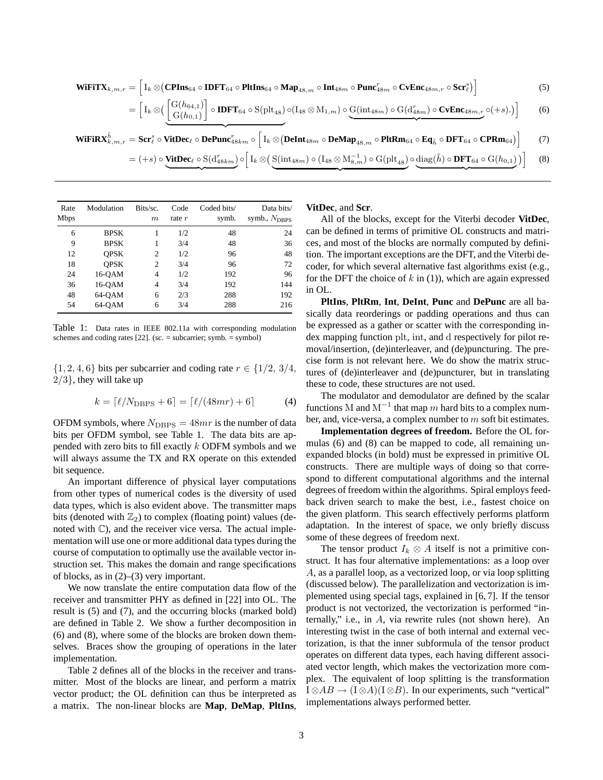**WIFY**<sub>k,m,r</sub> = 
$$
\left[I_k \otimes (\text{CPIn}_{64} \circ \text{IDFT}_{64} \circ \text{PltIn}_{64} \circ \text{Map}_{48,m} \circ \text{Int}_{48m} \circ \text{Punc}_{48m}^r \circ \text{CvEnc}_{48m,r} \circ \text{Scr}_{\ell}^s)\right]
$$
 (5)  
 =  $\left[I_k \otimes \left(\frac{G(h_{64,1})}{G(h_{0,1})}\right] \circ \text{IDFT}_{64} \circ S(\text{plt}_{48}) \circ (I_{48} \otimes M_{1,m}) \circ G(\text{int}_{48m}) \circ G(d_{48m}^r) \circ \text{CvEnc}_{48m,r} \circ (+s).)\right]$  (6)

 ${\bf WiFiRX}^{\tilde{h}}_{k,m,r} = {\bf Scr}^s_\ell \circ {\bf VitDec}_\ell \circ {\bf DePunc}^r_{48km} \circ \Big[ {\bf I}_k \otimes \Big( {\bf DeInt}_{48m} \circ {\bf DeMap}_{48,m} \circ {\bf PitRm}_{64} \circ {\bf Eq}_{\tilde{h}} \circ {\bf DFT}_{64} \circ {\bf CPRm}_{64} \Big) \Big]$ (7)

$$
= (+s) \circ \underbrace{\text{VitDec}_{\ell} \circ \text{S}(d_{48km}^r)}_{\ell} \circ \left[ I_k \otimes \left( \underbrace{\text{S}(\text{int}_{48m}) \circ (I_{48} \otimes M_{8,m}^{-1}) \circ \text{G}(\text{plt}_{48})}_{\ell} \circ \underbrace{\text{diag}(\tilde{h}) \circ \text{DFT}_{64} \circ \text{G}(h_{0,1})}_{\ell} \right) \right] \tag{8}
$$

| Rate<br><b>Mbps</b> | Modulation  | Bits/sc.<br>$\boldsymbol{m}$ | Code<br>rate $r$ | Coded bits/<br>symb. | Data bits/<br>symb., $N_{\rm DBPS}$ |
|---------------------|-------------|------------------------------|------------------|----------------------|-------------------------------------|
| 6                   | <b>BPSK</b> | 1                            | 1/2              | 48                   | 24                                  |
| 9                   | <b>BPSK</b> | 1                            | 3/4              | 48                   | 36                                  |
| 12                  | <b>OPSK</b> | 2                            | 1/2              | 96                   | 48                                  |
| 18                  | <b>OPSK</b> | 2                            | 3/4              | 96                   | 72                                  |
| 24                  | 16-OAM      | 4                            | 1/2              | 192                  | 96                                  |
| 36                  | 16-OAM      | 4                            | 3/4              | 192                  | 144                                 |
| 48                  | 64-OAM      | 6                            | 2/3              | 288                  | 192                                 |
| 54                  | 64-OAM      | 6                            | 3/4              | 288                  | 216                                 |

Table 1: Data rates in IEEE 802.11a with corresponding modulation schemes and coding rates  $[22]$ . (sc. = subcarrier; symb. = symbol)

 $\{1, 2, 4, 6\}$  bits per subcarrier and coding rate  $r \in \{1/2, 3/4,$  $2/3$ , they will take up

$$
k = \lceil \ell / N_{\text{DBPS}} + 6 \rceil = \lceil \ell / (48mr) + 6 \rceil \tag{4}
$$

OFDM symbols, where  $N_{\text{DBPS}} = 48mr$  is the number of data bits per OFDM symbol, see Table 1. The data bits are appended with zero bits to fill exactly k ODFM symbols and we will always assume the TX and RX operate on this extended bit sequence.

An important difference of physical layer computations from other types of numerical codes is the diversity of used data types, which is also evident above. The transmitter maps bits (denoted with  $\mathbb{Z}_2$ ) to complex (floating point) values (denoted with C), and the receiver vice versa. The actual implementation will use one or more additional data types during the course of computation to optimally use the available vector instruction set. This makes the domain and range specifications of blocks, as in (2)–(3) very important.

We now translate the entire computation data flow of the receiver and transmitter PHY as defined in [22] into OL. The result is (5) and (7), and the occurring blocks (marked bold) are defined in Table 2. We show a further decomposition in (6) and (8), where some of the blocks are broken down themselves. Braces show the grouping of operations in the later implementation.

Table 2 defines all of the blocks in the receiver and transmitter. Most of the blocks are linear, and perform a matrix vector product; the OL definition can thus be interpreted as a matrix. The non-linear blocks are **Map**, **DeMap**, **PltIns**,

**VitDec**, and **Scr**.

All of the blocks, except for the Viterbi decoder **VitDec**, can be defined in terms of primitive OL constructs and matrices, and most of the blocks are normally computed by definition. The important exceptions are the DFT, and the Viterbi decoder, for which several alternative fast algorithms exist (e.g., for the DFT the choice of  $k$  in (1)), which are again expressed in OL.

**PltIns**, **PltRm**, **Int**, **DeInt**, **Punc** and **DePunc** are all basically data reorderings or padding operations and thus can be expressed as a gather or scatter with the corresponding index mapping function plt, int, and d respectively for pilot removal/insertion, (de)interleaver, and (de)puncturing. The precise form is not relevant here. We do show the matrix structures of (de)interleaver and (de)puncturer, but in translating these to code, these structures are not used.

The modulator and demodulator are defined by the scalar functions M and  $\mathrm{M}^{-1}$  that map  $m$  hard bits to a complex number, and, vice-versa, a complex number to m soft bit estimates.

**Implementation degrees of freedom.** Before the OL formulas (6) and (8) can be mapped to code, all remaining unexpanded blocks (in bold) must be expressed in primitive OL constructs. There are multiple ways of doing so that correspond to different computational algorithms and the internal degrees of freedom within the algorithms. Spiral employs feedback driven search to make the best, i.e., fastest choice on the given platform. This search effectively performs platform adaptation. In the interest of space, we only briefly discuss some of these degrees of freedom next.

The tensor product  $I_k \otimes A$  itself is not a primitive construct. It has four alternative implementations: as a loop over A, as a parallel loop, as a vectorized loop, or via loop splitting (discussed below). The parallelization and vectorization is implemented using special tags, explained in [6, 7]. If the tensor product is not vectorized, the vectorization is performed "internally," i.e., in A, via rewrite rules (not shown here). An interesting twist in the case of both internal and external vectorization, is that the inner subformula of the tensor product operates on different data types, each having different associated vector length, which makes the vectorization more complex. The equivalent of loop splitting is the transformation  $I \otimes AB \rightarrow (I \otimes A)(I \otimes B)$ . In our experiments, such "vertical" implementations always performed better.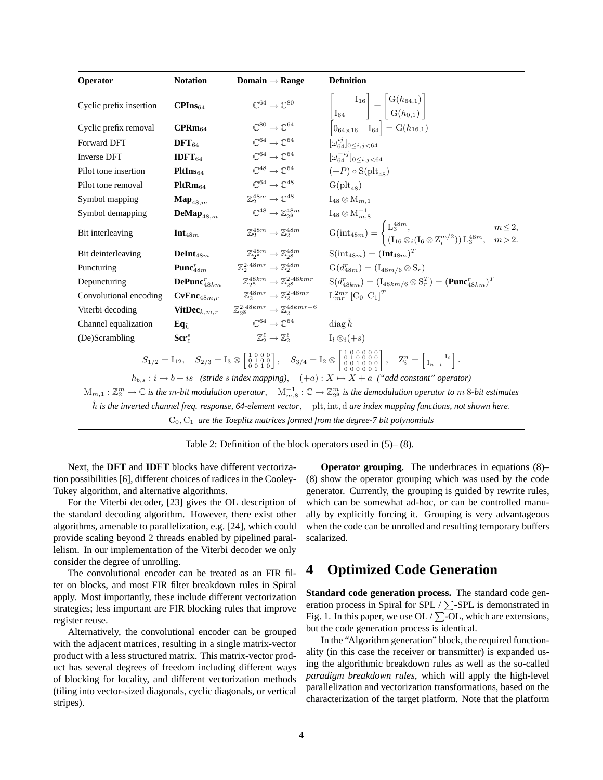| Operator                                                                                                                                                                                                                                                                                                                                                                                                                           | <b>Notation</b>                      | Domain $\rightarrow$ Range                                       | <b>Definition</b>                                                                                                                                                                 |  |  |
|------------------------------------------------------------------------------------------------------------------------------------------------------------------------------------------------------------------------------------------------------------------------------------------------------------------------------------------------------------------------------------------------------------------------------------|--------------------------------------|------------------------------------------------------------------|-----------------------------------------------------------------------------------------------------------------------------------------------------------------------------------|--|--|
| Cyclic prefix insertion                                                                                                                                                                                                                                                                                                                                                                                                            | $\text{CPIns}_{64}$                  | $\mathbb{C}^{64} \rightarrow \mathbb{C}^{80}$                    | $\begin{bmatrix} I_{16} \ I_{64} \end{bmatrix} = \begin{bmatrix} G(h_{64,1}) \ G(h_{0,1}) \end{bmatrix}$<br>$\begin{bmatrix} 0_{64\times16} & I_{64} \end{bmatrix} = G(h_{16,1})$ |  |  |
| Cyclic prefix removal                                                                                                                                                                                                                                                                                                                                                                                                              | $\mathrm{CPRm}_{64}$                 | $\mathbb{C}^{80} \rightarrow \mathbb{C}^{64}$                    |                                                                                                                                                                                   |  |  |
| Forward DFT                                                                                                                                                                                                                                                                                                                                                                                                                        | $DFT64$                              | $\mathbb{C}^{64} \rightarrow \mathbb{C}^{64}$                    | $[\omega_{64}^{ij}]_{0\le i,j\le 64}$                                                                                                                                             |  |  |
| <b>Inverse DFT</b>                                                                                                                                                                                                                                                                                                                                                                                                                 | <b>IDFT</b> $_{64}$                  | $\mathbb{C}^{64} \rightarrow \mathbb{C}^{64}$                    | $[\omega_{64}^{-ij}]_{0 \le i, j \le 64}$                                                                                                                                         |  |  |
| Pilot tone insertion                                                                                                                                                                                                                                                                                                                                                                                                               | PltIns <sub>64</sub>                 | $\mathbb{C}^{48} \rightarrow \mathbb{C}^{64}$                    | $(+P) \circ S(\text{plt}_{48})$                                                                                                                                                   |  |  |
| Pilot tone removal                                                                                                                                                                                                                                                                                                                                                                                                                 | $PltRm_{64}$                         | $\mathbb{C}^{64} \rightarrow \mathbb{C}^{48}$                    | $G(\text{plt}_{48})$                                                                                                                                                              |  |  |
| Symbol mapping                                                                                                                                                                                                                                                                                                                                                                                                                     | $\mathbf{Map}_{48,m}$                | $\mathbb{Z}_2^{48m} \rightarrow \mathbb{C}^{48}$                 | $I_{48} \otimes M_{m,1}$                                                                                                                                                          |  |  |
| Symbol demapping                                                                                                                                                                                                                                                                                                                                                                                                                   | $\mathbf{DeMap}_{48,m}$              | $\mathbb{C}^{48} \rightarrow \mathbb{Z}_{28}^{48m}$              | $I_{48} \otimes M_{m,8}^{-1}$                                                                                                                                                     |  |  |
| Bit interleaving                                                                                                                                                                                                                                                                                                                                                                                                                   | $Int_{48m}$                          | $\mathbb{Z}_2^{48m} \rightarrow \mathbb{Z}_2^{48m}$              | $G(int_{48m}) = \begin{cases} L_3^{48m}, & m \leq 2, \\ (I_{16} \otimes i(I_6 \otimes Z_i^{m/2})) L_3^{48m}, & m > 2. \end{cases}$                                                |  |  |
| Bit deinterleaving                                                                                                                                                                                                                                                                                                                                                                                                                 | $DeInt48m$                           | $\mathbb{Z}_{28}^{48m} \rightarrow \mathbb{Z}_{28}^{48m}$        | $S(int_{48m}) = (Int_{48m})^{T}$                                                                                                                                                  |  |  |
| Puncturing                                                                                                                                                                                                                                                                                                                                                                                                                         | Punc <sup><math>T_{48m}</math></sup> | $\mathbb{Z}_2^{2\cdot 48mr} \rightarrow \mathbb{Z}_2^{48m}$      | $G(d_{48m}^r) = (I_{48m/6} \otimes S_r)$                                                                                                                                          |  |  |
| Depuncturing                                                                                                                                                                                                                                                                                                                                                                                                                       | $\mathbf{DePunc}_{48km}^r$           | $\mathbb{Z}_{28}^{48km} \rightarrow \mathbb{Z}_{28}^{2.48kmr}$   | $S(d_{48km}^r) = (I_{48km/6} \otimes S_r^T) = (\textbf{Punc}_{48km}^r)^T$                                                                                                         |  |  |
| Convolutional encoding                                                                                                                                                                                                                                                                                                                                                                                                             | CvEnc <sub>48m,r</sub>               | $\mathbb{Z}_2^{48mr} \rightarrow \mathbb{Z}_2^{2.48mr}$          | $L_{mr}^{2mr}$ [C <sub>0</sub> C <sub>1</sub> ] <sup>T</sup>                                                                                                                      |  |  |
| Viterbi decoding                                                                                                                                                                                                                                                                                                                                                                                                                   | $\mathbf{VitDec}_{k,m,r}$            | $\mathbb{Z}_{28}^{2.48kmr} \rightarrow \mathbb{Z}_{2}^{48kmr-6}$ |                                                                                                                                                                                   |  |  |
| Channel equalization                                                                                                                                                                                                                                                                                                                                                                                                               | $Eq_{\tilde{L}}$                     | $\mathbb{C}^{64} \rightarrow \mathbb{C}^{64}$                    | diag h                                                                                                                                                                            |  |  |
| (De)Scrambling                                                                                                                                                                                                                                                                                                                                                                                                                     | $\mathbf{Scr}^s_{\ell}$              | $\mathbb{Z}_2^{\ell} \to \mathbb{Z}_2^{\ell}$                    | $I_l \otimes_i (+s)$                                                                                                                                                              |  |  |
| $S_{1/2} = {\rm I}_{12}, \quad S_{2/3} = {\rm I}_3 \otimes \left[ \begin{smallmatrix} 1 & 0 & 0 & 0 \\ 0 & 1 & 0 & 0 \\ 0 & 0 & 1 & 0 \end{smallmatrix} \right], \quad S_{3/4} = {\rm I}_2 \otimes \left[ \begin{smallmatrix} 1 & 0 & 0 & 0 & 0 \\ 0 & 1 & 0 & 0 & 0 \\ 0 & 0 & 1 & 0 & 0 \\ 0 & 0 & 0 & 0 & 0 \\ 0 & 0 & 0 & 0 & 0 \end{smallmatrix} \right], \quad Z_i^n = \left[ \begin{smallmatrix} {\rm I}_i \\ {\rm I}_{n-i$ |                                      |                                                                  |                                                                                                                                                                                   |  |  |
| $h_{b,s}: i \mapsto b+is \ \ (\textit{stride~s~index~mapping}), \quad (+a): X \mapsto X + a \ \ (\textit{``add~constant''~operator)}$                                                                                                                                                                                                                                                                                              |                                      |                                                                  |                                                                                                                                                                                   |  |  |

 $M_{m,1}: \mathbb{Z}_2^m \to \mathbb{C}$  is the m-bit modulation operator,  $M_{m,8}^{-1}: \mathbb{C} \to \mathbb{Z}_2^m$  is the demodulation operator to  $m$  8-bit estimates  $\tilde{h}$  *is the inverted channel freq. response, 64-element vector,* plt, int, d *are index mapping functions, not shown here.* C0, C<sup>1</sup> *are the Toeplitz matrices formed from the degree-7 bit polynomials*

Table 2: Definition of the block operators used in (5)– (8).

Next, the **DFT** and **IDFT** blocks have different vectorization possibilities [6], different choices of radices in the Cooley-Tukey algorithm, and alternative algorithms.

For the Viterbi decoder, [23] gives the OL description of the standard decoding algorithm. However, there exist other algorithms, amenable to parallelization, e.g. [24], which could provide scaling beyond 2 threads enabled by pipelined parallelism. In our implementation of the Viterbi decoder we only consider the degree of unrolling.

The convolutional encoder can be treated as an FIR filter on blocks, and most FIR filter breakdown rules in Spiral apply. Most importantly, these include different vectorization strategies; less important are FIR blocking rules that improve register reuse.

Alternatively, the convolutional encoder can be grouped with the adjacent matrices, resulting in a single matrix-vector product with a less structured matrix. This matrix-vector product has several degrees of freedom including different ways of blocking for locality, and different vectorization methods (tiling into vector-sized diagonals, cyclic diagonals, or vertical stripes).

**Operator grouping.** The underbraces in equations  $(8)$ – (8) show the operator grouping which was used by the code generator. Currently, the grouping is guided by rewrite rules, which can be somewhat ad-hoc, or can be controlled manually by explicitly forcing it. Grouping is very advantageous when the code can be unrolled and resulting temporary buffers scalarized.

# **4 Optimized Code Generation**

**Standard code generation process.** The standard code generation process in Spiral for SPL /  $\Sigma$ -SPL is demonstrated in Fig. 1. In this paper, we use OL /  $\Sigma$ -OL, which are extensions, but the code generation process is identical.

In the "Algorithm generation" block, the required functionality (in this case the receiver or transmitter) is expanded using the algorithmic breakdown rules as well as the so-called *paradigm breakdown rules*, which will apply the high-level parallelization and vectorization transformations, based on the characterization of the target platform. Note that the platform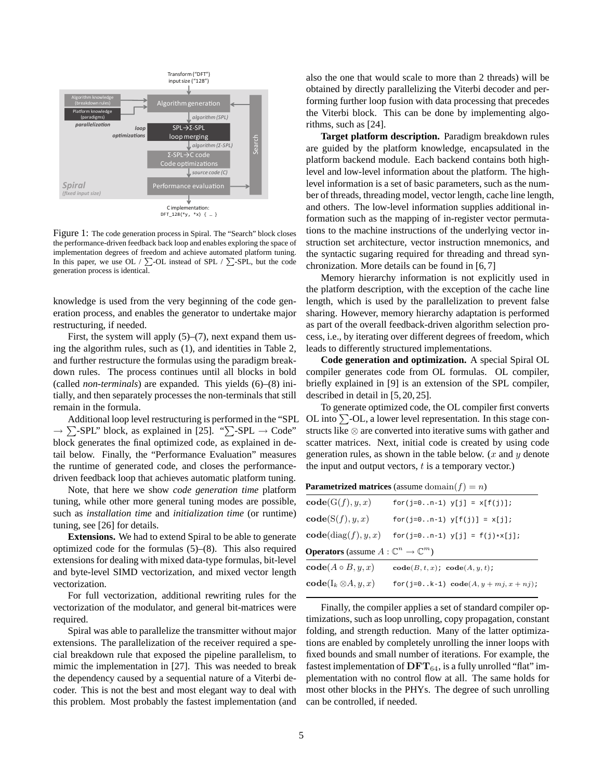

Figure 1: The code generation process in Spiral. The "Search" block closes the performance-driven feedback back loop and enables exploring the space of implementation degrees of freedom and achieve automated platform tuning. In this paper, we use OL /  $\Sigma$ -OL instead of SPL /  $\Sigma$ -SPL, but the code generation process is identical.

knowledge is used from the very beginning of the code generation process, and enables the generator to undertake major restructuring, if needed.

First, the system will apply  $(5)$ – $(7)$ , next expand them using the algorithm rules, such as (1), and identities in Table 2, and further restructure the formulas using the paradigm breakdown rules. The process continues until all blocks in bold (called *non-terminals*) are expanded. This yields (6)–(8) initially, and then separately processes the non-terminals that still remain in the formula.

Additional loop level restructuring is performed in the "SPL  $\rightarrow \sum$ -SPL" block, as explained in [25]. " $\sum$ -SPL  $\rightarrow$  Code" block generates the final optimized code, as explained in detail below. Finally, the "Performance Evaluation" measures the runtime of generated code, and closes the performancedriven feedback loop that achieves automatic platform tuning.

Note, that here we show *code generation time* platform tuning, while other more general tuning modes are possible, such as *installation time* and *initialization time* (or runtime) tuning, see [26] for details.

**Extensions.** We had to extend Spiral to be able to generate optimized code for the formulas (5)–(8). This also required extensions for dealing with mixed data-type formulas, bit-level and byte-level SIMD vectorization, and mixed vector length vectorization.

For full vectorization, additional rewriting rules for the vectorization of the modulator, and general bit-matrices were required.

Spiral was able to parallelize the transmitter without major extensions. The parallelization of the receiver required a special breakdown rule that exposed the pipeline parallelism, to mimic the implementation in [27]. This was needed to break the dependency caused by a sequential nature of a Viterbi decoder. This is not the best and most elegant way to deal with this problem. Most probably the fastest implementation (and also the one that would scale to more than 2 threads) will be obtained by directly parallelizing the Viterbi decoder and performing further loop fusion with data processing that precedes the Viterbi block. This can be done by implementing algorithms, such as [24].

**Target platform description.** Paradigm breakdown rules are guided by the platform knowledge, encapsulated in the platform backend module. Each backend contains both highlevel and low-level information about the platform. The highlevel information is a set of basic parameters, such as the number of threads, threading model, vector length, cache line length, and others. The low-level information supplies additional information such as the mapping of in-register vector permutations to the machine instructions of the underlying vector instruction set architecture, vector instruction mnemonics, and the syntactic sugaring required for threading and thread synchronization. More details can be found in [6, 7]

Memory hierarchy information is not explicitly used in the platform description, with the exception of the cache line length, which is used by the parallelization to prevent false sharing. However, memory hierarchy adaptation is performed as part of the overall feedback-driven algorithm selection process, i.e., by iterating over different degrees of freedom, which leads to differently structured implementations.

**Code generation and optimization.** A special Spiral OL compiler generates code from OL formulas. OL compiler, briefly explained in [9] is an extension of the SPL compiler, described in detail in [5, 20, 25].

To generate optimized code, the OL compiler first converts OL into  $\Sigma$ -OL, a lower level representation. In this stage constructs like ⊗ are converted into iterative sums with gather and scatter matrices. Next, initial code is created by using code generation rules, as shown in the table below.  $(x \text{ and } y \text{ denote})$ the input and output vectors,  $t$  is a temporary vector.)

**Parametrized matrices** (assume domain $(f) = n$ )

| $\mathbf{code}(G(f), y, x)$                                   | $for(j=0n-1)$ $y[j] = x[f(j)]$ ;                |  |  |  |  |
|---------------------------------------------------------------|-------------------------------------------------|--|--|--|--|
| code(S(f), y, x)                                              | $for(i=0n-1)$ $y[f(i)] = x[i];$                 |  |  |  |  |
| code(diag(f), y, x)                                           | for(j=0n-1) $y[j] = f(j) * x[j];$               |  |  |  |  |
| <b>Operators</b> (assume $A: \mathbb{C}^n \to \mathbb{C}^m$ ) |                                                 |  |  |  |  |
| $code(A \circ B, y, x)$                                       | $code(B, t, x)$ ; $code(A, y, t)$ ;             |  |  |  |  |
| $\mathbf{code}(I_k \otimes A, y, x)$                          | for (j=0k-1) $\text{code}(A, y + mj, x + nj)$ ; |  |  |  |  |
|                                                               |                                                 |  |  |  |  |

Finally, the compiler applies a set of standard compiler optimizations, such as loop unrolling, copy propagation, constant folding, and strength reduction. Many of the latter optimizations are enabled by completely unrolling the inner loops with fixed bounds and small number of iterations. For example, the fastest implementation of  $\text{DFT}_{64}$ , is a fully unrolled "flat" implementation with no control flow at all. The same holds for most other blocks in the PHYs. The degree of such unrolling can be controlled, if needed.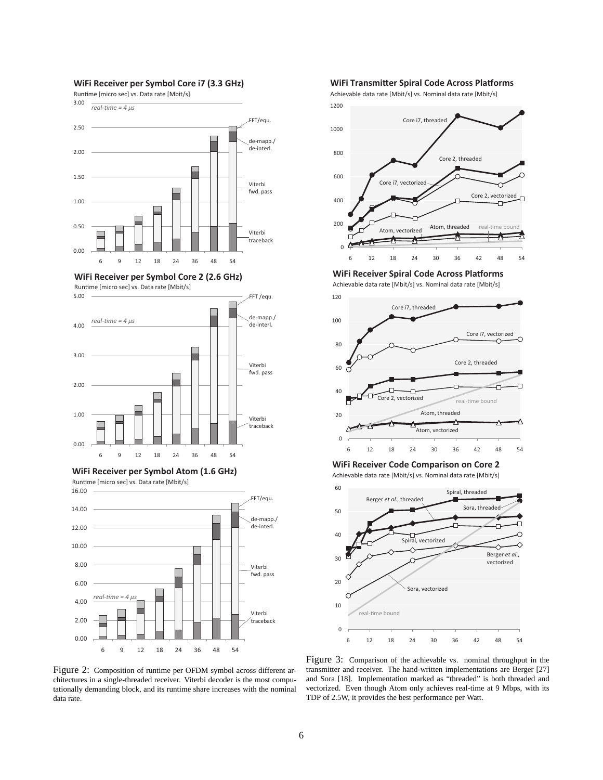

#### **WiFi Receiver per Symbol Core i7 (3.3 GHz)**

1200 Achievable data rate [Mbit/s] vs. Nominal data rate [Mbit/s]



**WiFi Transmitter Spiral Code Across Platforms** 

**WiFi Receiver per Symbol Core 2 (2.6 GHz)**







Runtime [micro sec] vs. Data rate [Mbit/s]



**WiFi Receiver Spiral Code Across Platforms** Achievable data rate [Mbit/s] vs. Nominal data rate [Mbit/s]



**WiFi Receiver Code Comparison on Core 2**

Achievable data rate [Mbit/s] vs. Nominal data rate [Mbit/s]



Figure 2: Composition of runtime per OFDM symbol across different architectures in a single-threaded receiver. Viterbi decoder is the most computationally demanding block, and its runtime share increases with the nominal data rate.

Figure 3: Comparison of the achievable vs. nominal throughput in the transmitter and receiver. The hand-written implementations are Berger [27] and Sora [18]. Implementation marked as "threaded" is both threaded and vectorized. Even though Atom only achieves real-time at 9 Mbps, with its TDP of 2.5W, it provides the best performance per Watt.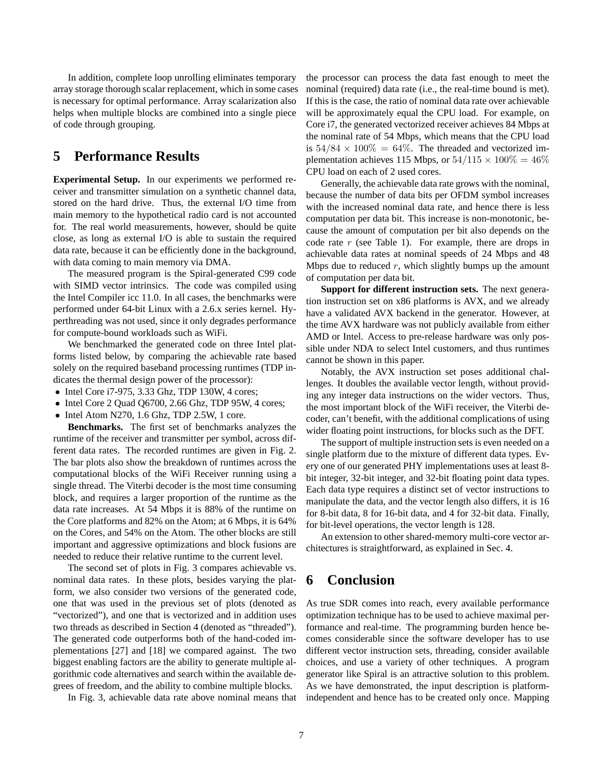In addition, complete loop unrolling eliminates temporary array storage thorough scalar replacement, which in some cases is necessary for optimal performance. Array scalarization also helps when multiple blocks are combined into a single piece of code through grouping.

# **5 Performance Results**

**Experimental Setup.** In our experiments we performed receiver and transmitter simulation on a synthetic channel data, stored on the hard drive. Thus, the external I/O time from main memory to the hypothetical radio card is not accounted for. The real world measurements, however, should be quite close, as long as external I/O is able to sustain the required data rate, because it can be efficiently done in the background, with data coming to main memory via DMA.

The measured program is the Spiral-generated C99 code with SIMD vector intrinsics. The code was compiled using the Intel Compiler icc 11.0. In all cases, the benchmarks were performed under 64-bit Linux with a 2.6.x series kernel. Hyperthreading was not used, since it only degrades performance for compute-bound workloads such as WiFi.

We benchmarked the generated code on three Intel platforms listed below, by comparing the achievable rate based solely on the required baseband processing runtimes (TDP indicates the thermal design power of the processor):

- Intel Core i7-975, 3.33 Ghz, TDP 130W, 4 cores;
- Intel Core 2 Ouad O6700, 2.66 Ghz, TDP 95W, 4 cores;
- Intel Atom N270, 1.6 Ghz, TDP 2.5W, 1 core.

**Benchmarks.** The first set of benchmarks analyzes the runtime of the receiver and transmitter per symbol, across different data rates. The recorded runtimes are given in Fig. 2. The bar plots also show the breakdown of runtimes across the computational blocks of the WiFi Receiver running using a single thread. The Viterbi decoder is the most time consuming block, and requires a larger proportion of the runtime as the data rate increases. At 54 Mbps it is 88% of the runtime on the Core platforms and 82% on the Atom; at 6 Mbps, it is 64% on the Cores, and 54% on the Atom. The other blocks are still important and aggressive optimizations and block fusions are needed to reduce their relative runtime to the current level.

The second set of plots in Fig. 3 compares achievable vs. nominal data rates. In these plots, besides varying the platform, we also consider two versions of the generated code, one that was used in the previous set of plots (denoted as "vectorized"), and one that is vectorized and in addition uses two threads as described in Section 4 (denoted as "threaded"). The generated code outperforms both of the hand-coded implementations [27] and [18] we compared against. The two biggest enabling factors are the ability to generate multiple algorithmic code alternatives and search within the available degrees of freedom, and the ability to combine multiple blocks.

In Fig. 3, achievable data rate above nominal means that

the processor can process the data fast enough to meet the nominal (required) data rate (i.e., the real-time bound is met). If this is the case, the ratio of nominal data rate over achievable will be approximately equal the CPU load. For example, on Core i7, the generated vectorized receiver achieves 84 Mbps at the nominal rate of 54 Mbps, which means that the CPU load is  $54/84 \times 100\% = 64\%$ . The threaded and vectorized implementation achieves 115 Mbps, or  $54/115 \times 100\% = 46\%$ CPU load on each of 2 used cores.

Generally, the achievable data rate grows with the nominal, because the number of data bits per OFDM symbol increases with the increased nominal data rate, and hence there is less computation per data bit. This increase is non-monotonic, because the amount of computation per bit also depends on the code rate  $r$  (see Table 1). For example, there are drops in achievable data rates at nominal speeds of 24 Mbps and 48 Mbps due to reduced  $r$ , which slightly bumps up the amount of computation per data bit.

**Support for different instruction sets.** The next generation instruction set on x86 platforms is AVX, and we already have a validated AVX backend in the generator. However, at the time AVX hardware was not publicly available from either AMD or Intel. Access to pre-release hardware was only possible under NDA to select Intel customers, and thus runtimes cannot be shown in this paper.

Notably, the AVX instruction set poses additional challenges. It doubles the available vector length, without providing any integer data instructions on the wider vectors. Thus, the most important block of the WiFi receiver, the Viterbi decoder, can't benefit, with the additional complications of using wider floating point instructions, for blocks such as the DFT.

The support of multiple instruction sets is even needed on a single platform due to the mixture of different data types. Every one of our generated PHY implementations uses at least 8 bit integer, 32-bit integer, and 32-bit floating point data types. Each data type requires a distinct set of vector instructions to manipulate the data, and the vector length also differs, it is 16 for 8-bit data, 8 for 16-bit data, and 4 for 32-bit data. Finally, for bit-level operations, the vector length is 128.

An extension to other shared-memory multi-core vector architectures is straightforward, as explained in Sec. 4.

# **6 Conclusion**

As true SDR comes into reach, every available performance optimization technique has to be used to achieve maximal performance and real-time. The programming burden hence becomes considerable since the software developer has to use different vector instruction sets, threading, consider available choices, and use a variety of other techniques. A program generator like Spiral is an attractive solution to this problem. As we have demonstrated, the input description is platformindependent and hence has to be created only once. Mapping